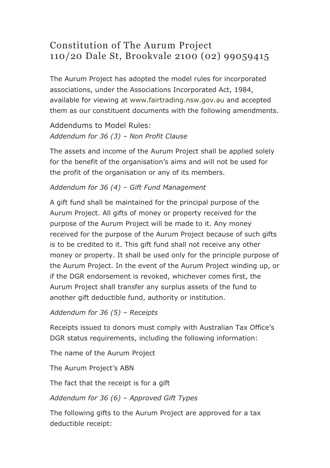# Constitution of The Aurum Project 110/20 Dale St, Brookvale 2100 (02) 99059415

The Aurum Project has adopted the model rules for incorporated associations, under the Associations Incorporated Act, 1984, available for viewing at www.fairtrading.nsw.gov.au and accepted them as our constituent documents with the following amendments.

Addendums to Model Rules: *Addendum for 36 (3) – Non Profit Clause*

The assets and income of the Aurum Project shall be applied solely for the benefit of the organisation's aims and will not be used for the profit of the organisation or any of its members.

#### *Addendum for 36 (4) – Gift Fund Management*

A gift fund shall be maintained for the principal purpose of the Aurum Project. All gifts of money or property received for the purpose of the Aurum Project will be made to it. Any money received for the purpose of the Aurum Project because of such gifts is to be credited to it. This gift fund shall not receive any other money or property. It shall be used only for the principle purpose of the Aurum Project. In the event of the Aurum Project winding up, or if the DGR endorsement is revoked, whichever comes first, the Aurum Project shall transfer any surplus assets of the fund to another gift deductible fund, authority or institution.

*Addendum for 36 (5) – Receipts*

Receipts issued to donors must comply with Australian Tax Office's DGR status requirements, including the following information:

The name of the Aurum Project

The Aurum Project's ABN

The fact that the receipt is for a gift

*Addendum for 36 (6) – Approved Gift Types*

The following gifts to the Aurum Project are approved for a tax deductible receipt: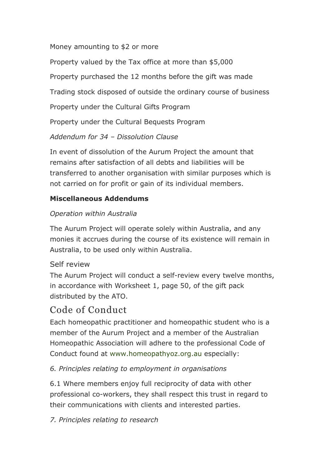Money amounting to \$2 or more

Property valued by the Tax office at more than \$5,000

Property purchased the 12 months before the gift was made

Trading stock disposed of outside the ordinary course of business

Property under the Cultural Gifts Program

Property under the Cultural Bequests Program

*Addendum for 34 – Dissolution Clause*

In event of dissolution of the Aurum Project the amount that remains after satisfaction of all debts and liabilities will be transferred to another organisation with similar purposes which is not carried on for profit or gain of its individual members.

### **Miscellaneous Addendums**

### *Operation within Australia*

The Aurum Project will operate solely within Australia, and any monies it accrues during the course of its existence will remain in Australia, to be used only within Australia.

### Self review

The Aurum Project will conduct a self-review every twelve months, in accordance with Worksheet 1, page 50, of the gift pack distributed by the ATO.

# Code of Conduct

Each homeopathic practitioner and homeopathic student who is a member of the Aurum Project and a member of the Australian Homeopathic Association will adhere to the professional Code of Conduct found at www.homeopathyoz.org.au especially:

### *6. Principles relating to employment in organisations*

6.1 Where members enjoy full reciprocity of data with other professional co-workers, they shall respect this trust in regard to their communications with clients and interested parties.

*7. Principles relating to research*